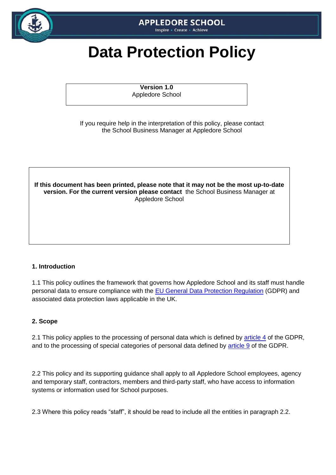

# **APPLEDORE SCHOOL**

Inspire • Create • Achieve

# **Data Protection Policy**

**Version 1.0** Appledore School

If you require help in the interpretation of this policy, please contact the School Business Manager at Appledore School



#### **1. Introduction**

1.1 This policy outlines the framework that governs how Appledore School and its staff must handle personal data to ensure compliance with the [EU General Data Protection Regulation](https://gdpr-info.eu/) (GDPR) and associated data protection laws applicable in the UK.

#### **2. Scope**

2.1 This policy applies to the processing of personal data which is defined by [article 4](https://gdpr-info.eu/art-4-gdpr/) of the GDPR, and to the processing of special categories of personal data defined by [article 9](https://gdpr-info.eu/art-9-gdpr/) of the GDPR.

2.2 This policy and its supporting guidance shall apply to all Appledore School employees, agency and temporary staff, contractors, members and third-party staff, who have access to information systems or information used for School purposes.

2.3 Where this policy reads "staff", it should be read to include all the entities in paragraph 2.2.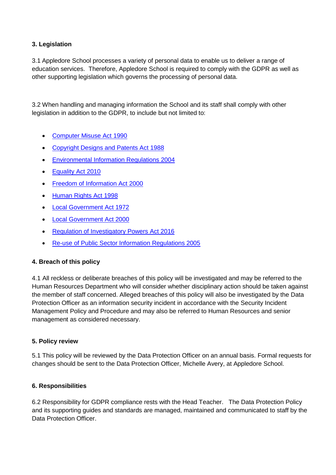# **3. Legislation**

3.1 Appledore School processes a variety of personal data to enable us to deliver a range of education services. Therefore, Appledore School is required to comply with the GDPR as well as other supporting legislation which governs the processing of personal data.

3.2 When handling and managing information the School and its staff shall comply with other legislation in addition to the GDPR, to include but not limited to:

- [Computer Misuse Act 1990](http://www.legislation.gov.uk/ukpga/1990/18/contents)
- [Copyright Designs and Patents Act 1988](https://www.legislation.gov.uk/ukpga/1988/48/contents)
- [Environmental Information Regulations 2004](http://www.legislation.gov.uk/ukpga/1988/48/contents)
- [Equality Act 2010](http://www.legislation.gov.uk/ukpga/2010/15/contents)
- [Freedom of Information Act 2000](https://www.legislation.gov.uk/ukpga/2000/36/contents)
- [Human Rights Act 1998](http://www.legislation.gov.uk/ukpga/1998/42/contents)
- [Local Government Act 1972](http://www.legislation.gov.uk/ukpga/1972/70)
- [Local Government Act 2000](https://www.legislation.gov.uk/ukpga/2000/22/contents)
- [Regulation of Investigatory Powers Act 2016](http://www.legislation.gov.uk/ukpga/2016/25/contents/enacted)
- [Re-use of Public Sector Information Regulations 2005](http://www.legislation.gov.uk/uksi/2005/1515/made)

#### **4. Breach of this policy**

4.1 All reckless or deliberate breaches of this policy will be investigated and may be referred to the Human Resources Department who will consider whether disciplinary action should be taken against the member of staff concerned. Alleged breaches of this policy will also be investigated by the Data Protection Officer as an information security incident in accordance with the Security Incident Management Policy and Procedure and may also be referred to Human Resources and senior management as considered necessary.

#### **5. Policy review**

5.1 This policy will be reviewed by the Data Protection Officer on an annual basis. Formal requests for changes should be sent to the Data Protection Officer, Michelle Avery, at Appledore School.

#### **6. Responsibilities**

6.2 Responsibility for GDPR compliance rests with the Head Teacher. The Data Protection Policy and its supporting guides and standards are managed, maintained and communicated to staff by the Data Protection Officer.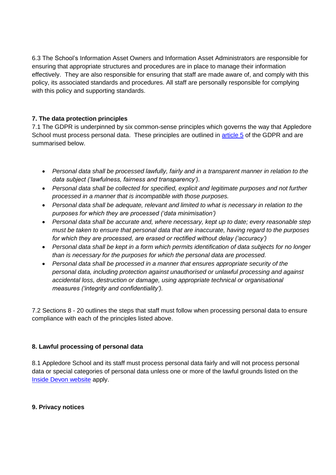6.3 The School's Information Asset Owners and Information Asset Administrators are responsible for ensuring that appropriate structures and procedures are in place to manage their information effectively. They are also responsible for ensuring that staff are made aware of, and comply with this policy, its associated standards and procedures. All staff are personally responsible for complying with this policy and supporting standards.

#### **7. The data protection principles**

7.1 The GDPR is underpinned by six common-sense principles which governs the way that Appledore School must process personal data. These principles are outlined in [article 5](https://gdpr-info.eu/art-5-gdpr/) of the GDPR and are summarised below.

- *Personal data shall be processed lawfully, fairly and in a transparent manner in relation to the data subject ('lawfulness, fairness and transparency').*
- *Personal data shall be collected for specified, explicit and legitimate purposes and not further processed in a manner that is incompatible with those purposes.*
- *Personal data shall be adequate, relevant and limited to what is necessary in relation to the purposes for which they are processed ('data minimisation')*
- *Personal data shall be accurate and, where necessary, kept up to date; every reasonable step must be taken to ensure that personal data that are inaccurate, having regard to the purposes for which they are processed, are erased or rectified without delay ('accuracy')*
- *Personal data shall be kept in a form which permits identification of data subjects for no longer than is necessary for the purposes for which the personal data are processed.*
- *Personal data shall be processed in a manner that ensures appropriate security of the personal data, including protection against unauthorised or unlawful processing and against accidental loss, destruction or damage, using appropriate technical or organisational measures ('integrity and confidentiality').*

7.2 Sections 8 - 20 outlines the steps that staff must follow when processing personal data to ensure compliance with each of the principles listed above.

#### **8. Lawful processing of personal data**

8.1 Appledore School and its staff must process personal data fairly and will not process personal data or special categories of personal data unless one or more of the lawful grounds listed on the [Inside Devon website](https://inside.devon.gov.uk/task/gdpr/getting-ready-for-the-gdpr/) apply.

#### **9. Privacy notices**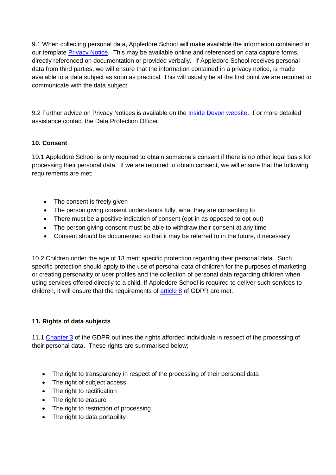9.1 When collecting personal data, Appledore School will make available the information contained in our template [Privacy Notice.](https://devoncc.sharepoint.com/sites/PublicDocs/StaffPages/_layouts/15/download.aspx?docid=05e283c9b5106446a80e55e5998a25f8c&authkey=AfDLHy0QPWLx6YXjmExzgnI&e=3cf891ac63b449e4913456cefc50771e) This may be available online and referenced on data capture forms, directly referenced on documentation or provided verbally. If Appledore School receives personal data from third parties, we will ensure that the information contained in a privacy notice, is made available to a data subject as soon as practical. This will usually be at the first point we are required to communicate with the data subject.

9.2 Further advice on Privacy Notices is available on the [Inside Devon website.](https://inside.devon.gov.uk/news/general-data-protection-regulations-gdpr-transparency-is-key/) For more detailed assistance contact the Data Protection Officer.

#### **10. Consent**

10.1 Appledore School is only required to obtain someone's consent if there is no other legal basis for processing their personal data. If we are required to obtain consent, we will ensure that the following requirements are met;

- The consent is freely given
- The person giving consent understands fully, what they are consenting to
- There must be a positive indication of consent (opt-in as opposed to opt-out)
- The person giving consent must be able to withdraw their consent at any time
- Consent should be documented so that it may be referred to in the future, if necessary

10.2 Children under the age of 13 merit specific protection regarding their personal data. Such specific protection should apply to the use of personal data of children for the purposes of marketing or creating personality or user profiles and the collection of personal data regarding children when using services offered directly to a child. If Appledore School is required to deliver such services to children, it will ensure that the requirements of [article 8](https://gdpr-info.eu/art-8-gdpr/) of GDPR are met.

#### **11. Rights of data subjects**

11.1 [Chapter 3](https://gdpr-info.eu/chapter-3/) of the GDPR outlines the rights afforded individuals in respect of the processing of their personal data. These rights are summarised below;

- The right to transparency in respect of the processing of their personal data
- The right of subject access
- The right to rectification
- The right to erasure
- The right to restriction of processing
- The right to data portability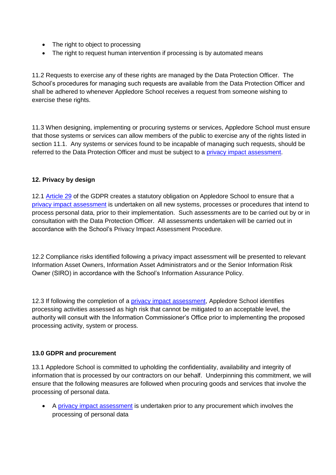- The right to object to processing
- The right to request human intervention if processing is by automated means

11.2 Requests to exercise any of these rights are managed by the Data Protection Officer. The School's procedures for managing such requests are available from the Data Protection Officer and shall be adhered to whenever Appledore School receives a request from someone wishing to exercise these rights.

11.3 When designing, implementing or procuring systems or services, Appledore School must ensure that those systems or services can allow members of the public to exercise any of the rights listed in section 11.1. Any systems or services found to be incapable of managing such requests, should be referred to the Data Protection Officer and must be subject to a [privacy impact assessment.](https://inside.devon.gov.uk/task/gdpr/privacy-by-design/)

#### **12. Privacy by design**

12.1 [Article 29](https://gdpr-info.eu/art-25-gdpr/) of the GDPR creates a statutory obligation on Appledore School to ensure that a [privacy impact assessment](https://inside.devon.gov.uk/task/gdpr/privacy-by-design/) is undertaken on all new systems, processes or procedures that intend to process personal data, prior to their implementation. Such assessments are to be carried out by or in consultation with the Data Protection Officer. All assessments undertaken will be carried out in accordance with the School's Privacy Impact Assessment Procedure.

12.2 Compliance risks identified following a privacy impact assessment will be presented to relevant Information Asset Owners, Information Asset Administrators and or the Senior Information Risk Owner (SIRO) in accordance with the School's Information Assurance Policy.

12.3 If following the completion of a [privacy impact assessment,](https://inside.devon.gov.uk/task/gdpr/privacy-by-design/) Appledore School identifies processing activities assessed as high risk that cannot be mitigated to an acceptable level, the authority will consult with the Information Commissioner's Office prior to implementing the proposed processing activity, system or process.

#### **13.0 GDPR and procurement**

13.1 Appledore School is committed to upholding the confidentiality, availability and integrity of information that is processed by our contractors on our behalf. Underpinning this commitment, we will ensure that the following measures are followed when procuring goods and services that involve the processing of personal data.

 A [privacy impact assessment](https://inside.devon.gov.uk/task/gdpr/privacy-by-design/) is undertaken prior to any procurement which involves the processing of personal data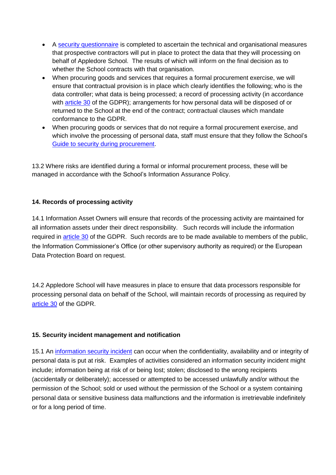- A [security questionnaire](https://inside.devon.gov.uk/task/gdpr/information-security-during-procurement/) is completed to ascertain the technical and organisational measures that prospective contractors will put in place to protect the data that they will processing on behalf of Appledore School. The results of which will inform on the final decision as to whether the School contracts with that organisation.
- When procuring goods and services that requires a formal procurement exercise, we will ensure that contractual provision is in place which clearly identifies the following; who is the data controller; what data is being processed; a record of processing activity (in accordance with [article 30](https://gdpr-info.eu/art-30-gdpr/) of the GDPR); arrangements for how personal data will be disposed of or returned to the School at the end of the contract; contractual clauses which mandate conformance to the GDPR.
- When procuring goods or services that do not require a formal procurement exercise, and which involve the processing of personal data, staff must ensure that they follow the School's [Guide to security during procurement.](https://inside.devon.gov.uk/task/gdpr/information-security-during-procurement/)

13.2 Where risks are identified during a formal or informal procurement process, these will be managed in accordance with the School's Information Assurance Policy.

# **14. Records of processing activity**

14.1 Information Asset Owners will ensure that records of the processing activity are maintained for all information assets under their direct responsibility. Such records will include the information required in [article 30](https://gdpr-info.eu/art-30-gdpr/) of the GDPR. Such records are to be made available to members of the public, the Information Commissioner's Office (or other supervisory authority as required) or the European Data Protection Board on request.

14.2 Appledore School will have measures in place to ensure that data processors responsible for processing personal data on behalf of the School, will maintain records of processing as required by [article 30](https://gdpr-info.eu/art-30-gdpr/) of the GDPR.

#### **15. Security incident management and notification**

15.1 An [information security incident](https://inside.devon.gov.uk/task/handle-a-security-incident/) can occur when the confidentiality, availability and or integrity of personal data is put at risk. Examples of activities considered an information security incident might include; information being at risk of or being lost; stolen; disclosed to the wrong recipients (accidentally or deliberately); accessed or attempted to be accessed unlawfully and/or without the permission of the School; sold or used without the permission of the School or a system containing personal data or sensitive business data malfunctions and the information is irretrievable indefinitely or for a long period of time.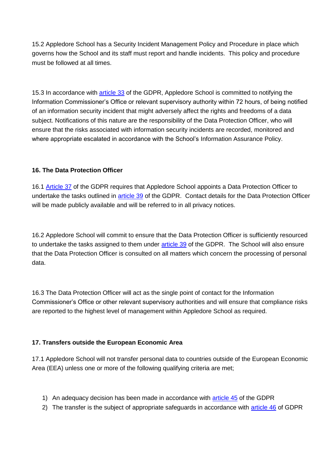15.2 Appledore School has a Security Incident Management Policy and Procedure in place which governs how the School and its staff must report and handle incidents. This policy and procedure must be followed at all times.

15.3 In accordance with [article 33](https://gdpr-info.eu/art-33-gdpr/) of the GDPR, Appledore School is committed to notifying the Information Commissioner's Office or relevant supervisory authority within 72 hours, of being notified of an information security incident that might adversely affect the rights and freedoms of a data subject. Notifications of this nature are the responsibility of the Data Protection Officer, who will ensure that the risks associated with information security incidents are recorded, monitored and where appropriate escalated in accordance with the School's Information Assurance Policy.

# **16. The Data Protection Officer**

16.1 [Article 37](https://gdpr-info.eu/art-37-gdpr/) of the GDPR requires that Appledore School appoints a Data Protection Officer to undertake the tasks outlined in [article 39](https://gdpr-info.eu/art-39-gdpr/) of the GDPR. Contact details for the Data Protection Officer will be made publicly available and will be referred to in all privacy notices.

16.2 Appledore School will commit to ensure that the Data Protection Officer is sufficiently resourced to undertake the tasks assigned to them under [article 39](https://gdpr-info.eu/art-39-gdpr/) of the GDPR. The School will also ensure that the Data Protection Officer is consulted on all matters which concern the processing of personal data.

16.3 The Data Protection Officer will act as the single point of contact for the Information Commissioner's Office or other relevant supervisory authorities and will ensure that compliance risks are reported to the highest level of management within Appledore School as required.

# **17. Transfers outside the European Economic Area**

17.1 Appledore School will not transfer personal data to countries outside of the European Economic Area (EEA) unless one or more of the following qualifying criteria are met;

- 1) An adequacy decision has been made in accordance with [article 45](https://gdpr-info.eu/art-45-gdpr/) of the GDPR
- 2) The transfer is the subject of appropriate safeguards in accordance with [article 46](https://gdpr-info.eu/art-46-gdpr/) of GDPR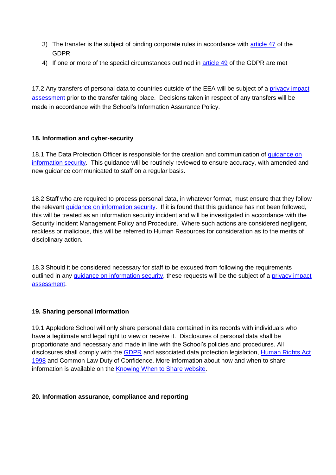- 3) The transfer is the subject of binding corporate rules in accordance with [article 47](https://gdpr-info.eu/art-47-gdpr/) of the GDPR
- 4) If one or more of the special circumstances outlined in **article 49** of the GDPR are met

17.2 Any transfers of personal data to countries outside of the EEA will be subject of a [privacy impact](https://inside.devon.gov.uk/task/gdpr/privacy-by-design/)  [assessment](https://inside.devon.gov.uk/task/gdpr/privacy-by-design/) prior to the transfer taking place. Decisions taken in respect of any transfers will be made in accordance with the School's Information Assurance Policy.

#### **18. Information and cyber-security**

18.1 The Data Protection Officer is responsible for the creation and communication of [guidance on](https://inside.devon.gov.uk/category/information-management/?showtag=security)  [information security.](https://inside.devon.gov.uk/category/information-management/?showtag=security) This guidance will be routinely reviewed to ensure accuracy, with amended and new guidance communicated to staff on a regular basis.

18.2 Staff who are required to process personal data, in whatever format, must ensure that they follow the relevant [guidance on information security.](https://inside.devon.gov.uk/category/information-management/?showtag=security) If it is found that this guidance has not been followed, this will be treated as an information security incident and will be investigated in accordance with the Security Incident Management Policy and Procedure. Where such actions are considered negligent, reckless or malicious, this will be referred to Human Resources for consideration as to the merits of disciplinary action.

18.3 Should it be considered necessary for staff to be excused from following the requirements outlined in any [guidance on information security,](https://inside.devon.gov.uk/category/information-management/?showtag=security) these requests will be the subject of a [privacy impact](https://inside.devon.gov.uk/task/gdpr/privacy-by-design/)  [assessment.](https://inside.devon.gov.uk/task/gdpr/privacy-by-design/)

#### **19. Sharing personal information**

19.1 Appledore School will only share personal data contained in its records with individuals who have a legitimate and legal right to view or receive it. Disclosures of personal data shall be proportionate and necessary and made in line with the School's policies and procedures. All disclosures shall comply with the [GDPR](https://gdpr-info.eu/) and associated data protection legislation, [Human Rights Act](http://www.legislation.gov.uk/ukpga/1998/42/contents)  [1998](http://www.legislation.gov.uk/ukpga/1998/42/contents) and Common Law Duty of Confidence. More information about how and when to share information is available on the [Knowing When to Share website.](https://new.devon.gov.uk/informationsharing/)

#### **20. Information assurance, compliance and reporting**